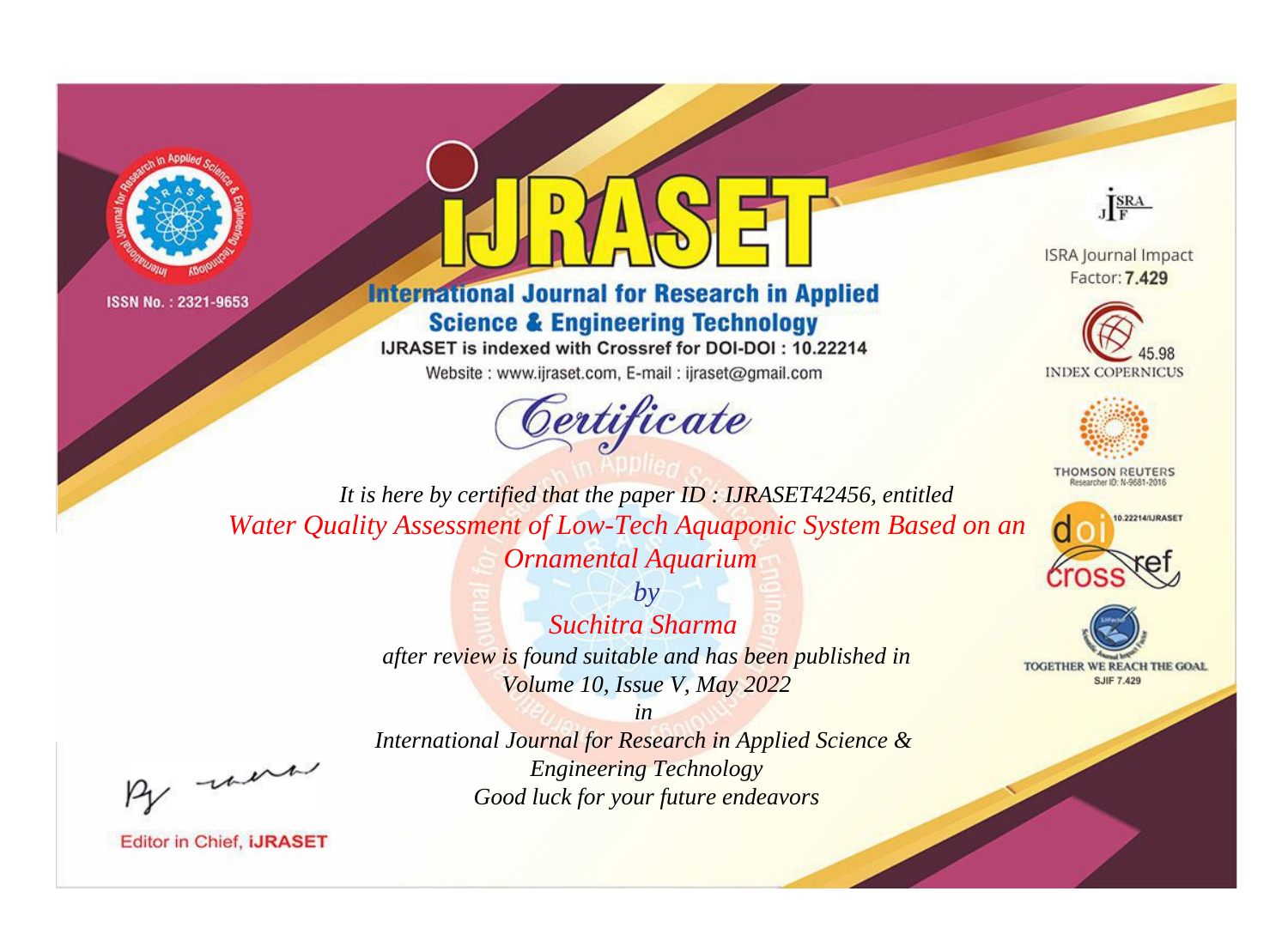



# **International Journal for Research in Applied Science & Engineering Technology**

IJRASET is indexed with Crossref for DOI-DOI: 10.22214

Website: www.ijraset.com, E-mail: ijraset@gmail.com



JERA

**ISRA Journal Impact** Factor: 7.429





**THOMSON REUTERS** 



TOGETHER WE REACH THE GOAL **SJIF 7.429** 

It is here by certified that the paper ID: IJRASET42456, entitled Water Quality Assessment of Low-Tech Aquaponic System Based on an **Ornamental Aquarium** 

> $b\nu$ Suchitra Sharma after review is found suitable and has been published in Volume 10, Issue V, May 2022

were

International Journal for Research in Applied Science & **Engineering Technology** Good luck for your future endeavors

 $in$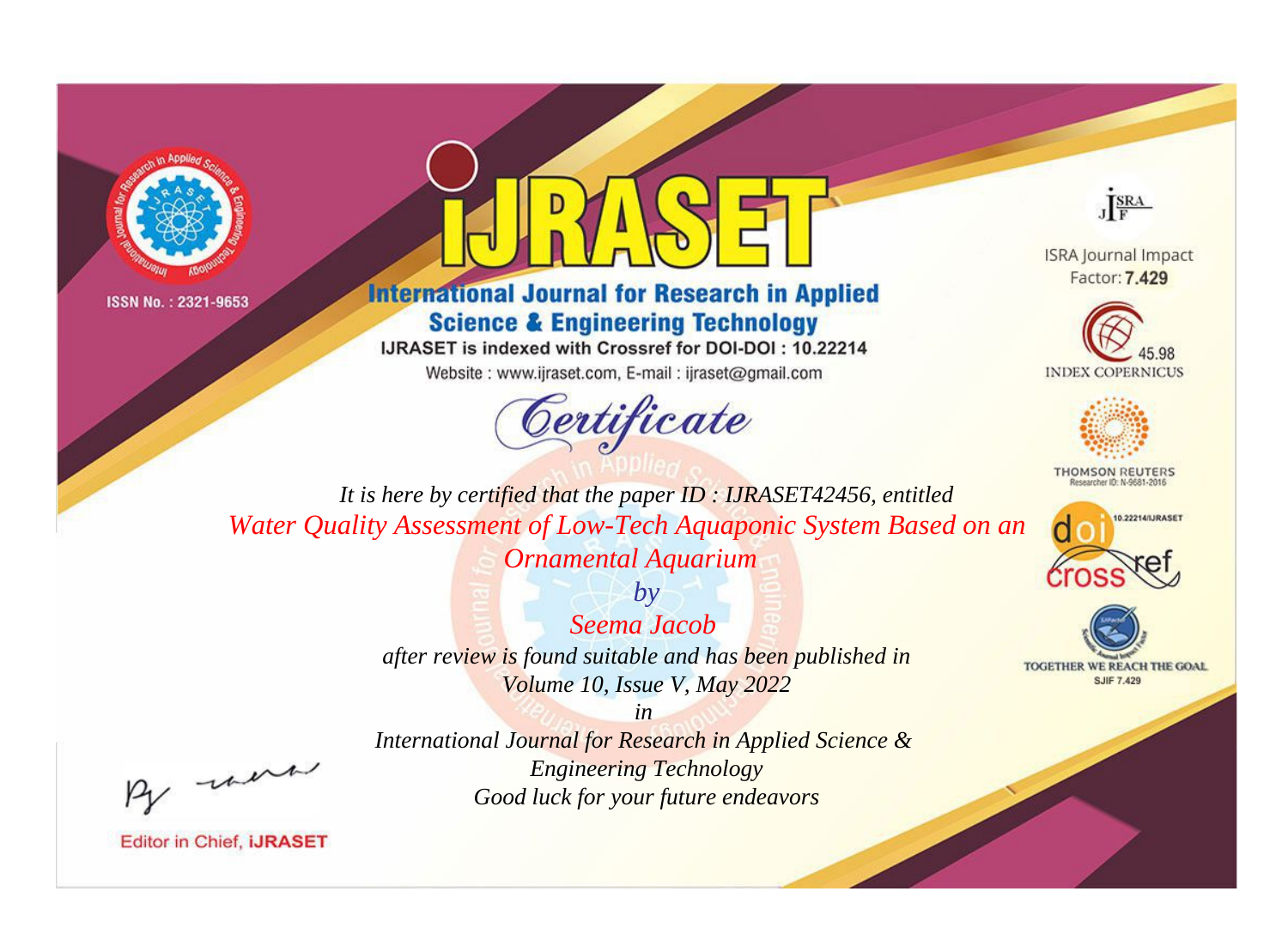



# **International Journal for Research in Applied Science & Engineering Technology**

IJRASET is indexed with Crossref for DOI-DOI: 10.22214

Website: www.ijraset.com, E-mail: ijraset@gmail.com



JERA

**ISRA Journal Impact** Factor: 7.429





**THOMSON REUTERS** 



TOGETHER WE REACH THE GOAL **SJIF 7.429** 

It is here by certified that the paper ID: IJRASET42456, entitled Water Quality Assessment of Low-Tech Aquaponic System Based on an **Ornamental Aquarium** 

> $b\nu$ Seema Jacob after review is found suitable and has been published in Volume 10, Issue V, May 2022

> > $in$

were

International Journal for Research in Applied Science & **Engineering Technology** Good luck for your future endeavors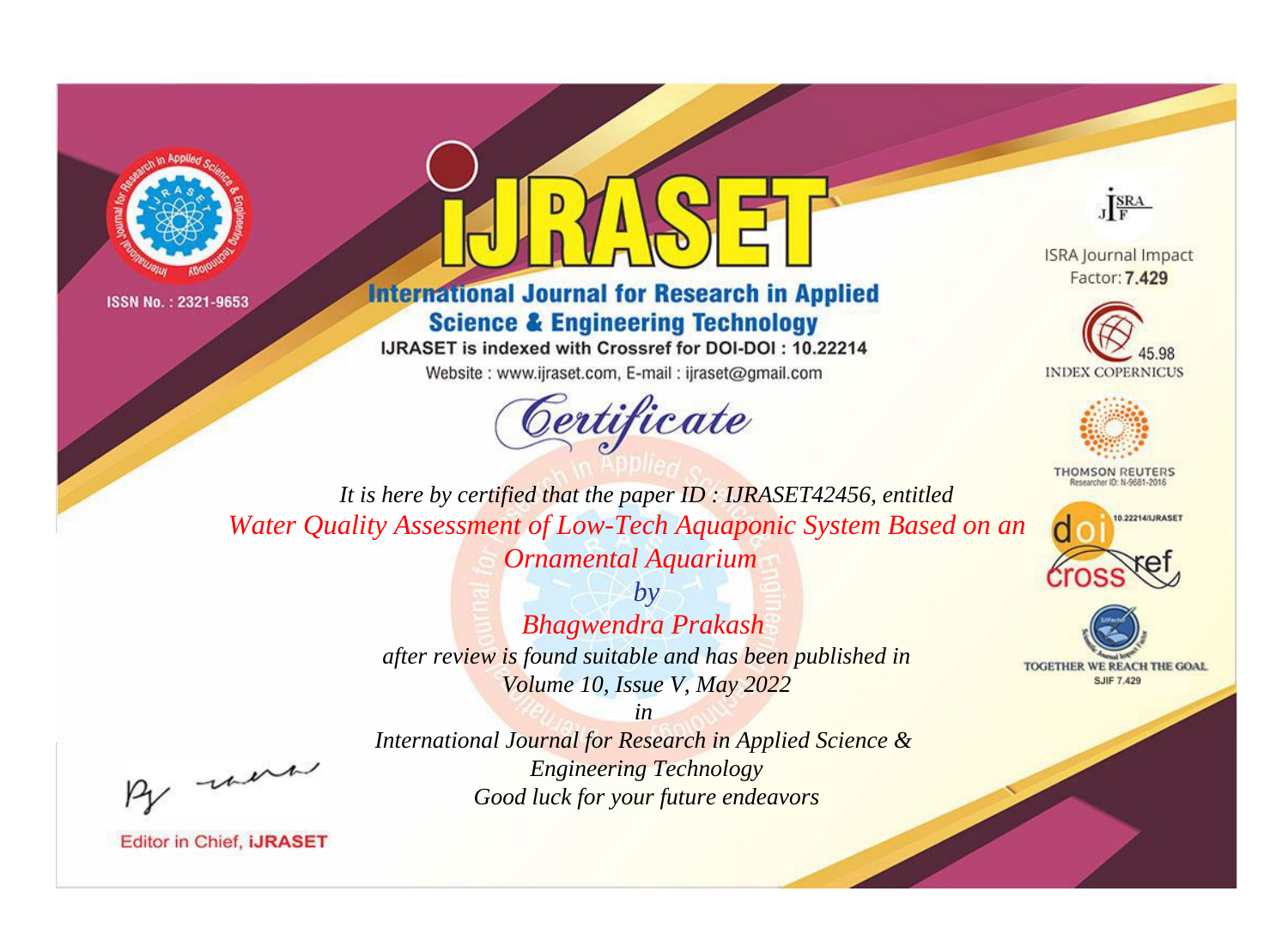



# **International Journal for Research in Applied Science & Engineering Technology**

IJRASET is indexed with Crossref for DOI-DOI: 10.22214

Website: www.ijraset.com, E-mail: ijraset@gmail.com





**ISRA Journal Impact** Factor: 7.429





**THOMSON REUTERS** 



TOGETHER WE REACH THE GOAL **SJIF 7.429** 

*It is here by certified that the paper ID : IJRASET42456, entitled Water Quality Assessment of Low-Tech Aquaponic System Based on an Ornamental Aquarium*

> *by Bhagwendra Prakash after review is found suitable and has been published in Volume 10, Issue V, May 2022*

*International Journal for Research in Applied Science & Engineering Technology Good luck for your future endeavors*

*in* 

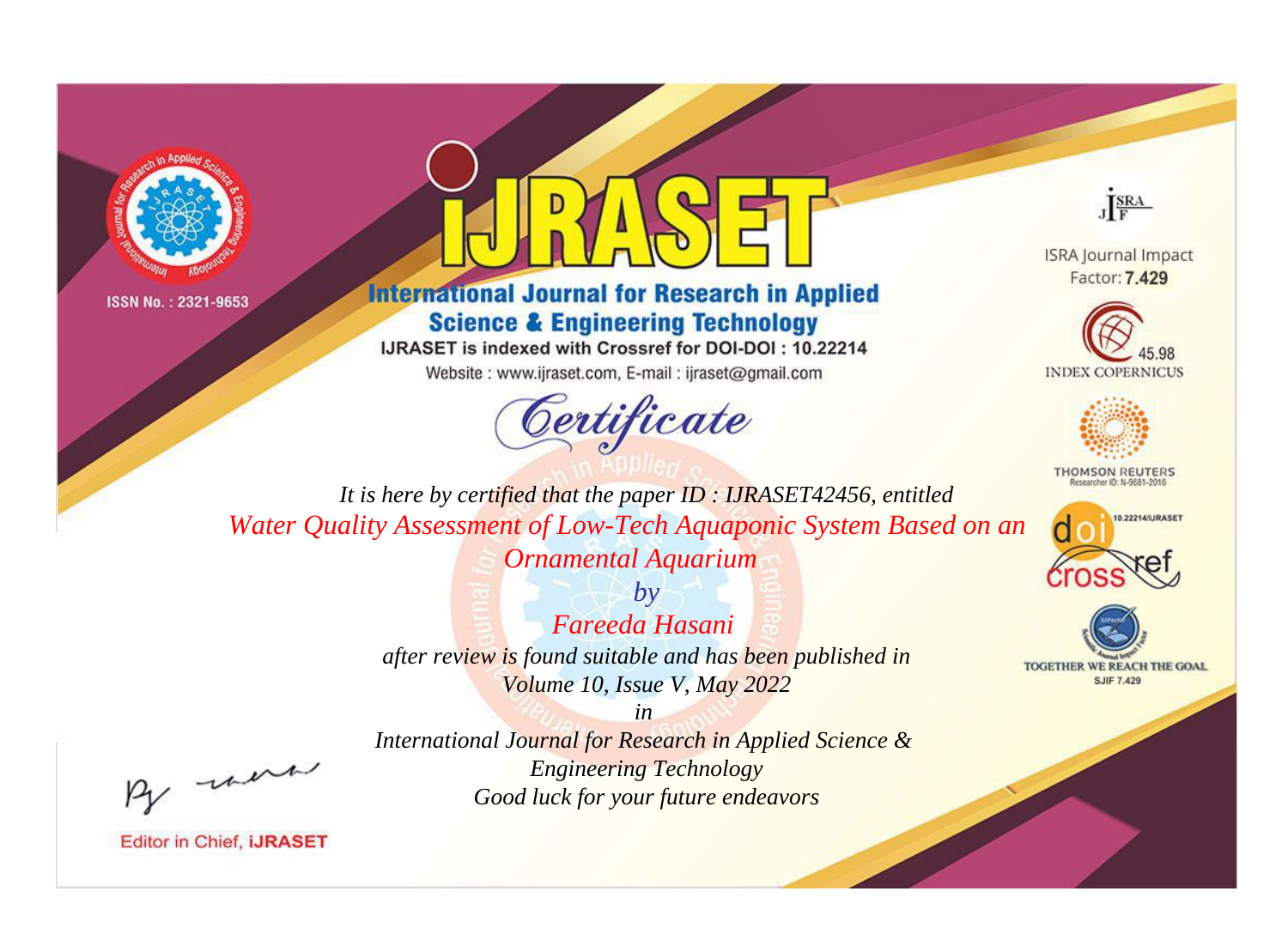



# **International Journal for Research in Applied Science & Engineering Technology**

IJRASET is indexed with Crossref for DOI-DOI: 10.22214

Website: www.ijraset.com, E-mail: ijraset@gmail.com





**ISRA Journal Impact** Factor: 7.429





**THOMSON REUTERS** 



TOGETHER WE REACH THE GOAL **SJIF 7.429** 

*It is here by certified that the paper ID : IJRASET42456, entitled Water Quality Assessment of Low-Tech Aquaponic System Based on an Ornamental Aquarium*

> *by Fareeda Hasani after review is found suitable and has been published in Volume 10, Issue V, May 2022*

, un

*International Journal for Research in Applied Science & Engineering Technology Good luck for your future endeavors*

*in*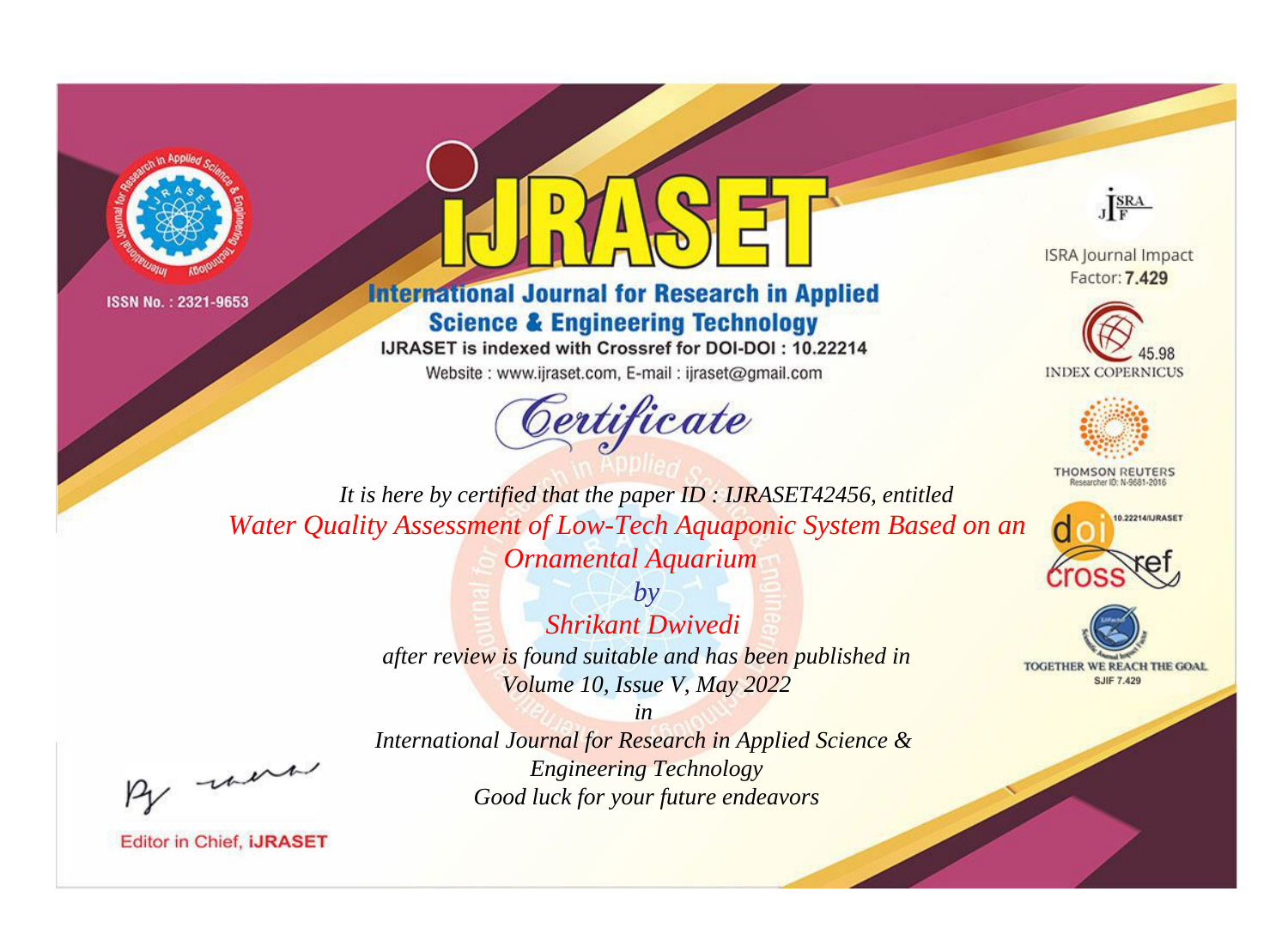



# **International Journal for Research in Applied Science & Engineering Technology**

IJRASET is indexed with Crossref for DOI-DOI: 10.22214

Website: www.ijraset.com, E-mail: ijraset@gmail.com



JERA

**ISRA Journal Impact** Factor: 7.429





**THOMSON REUTERS** 



TOGETHER WE REACH THE GOAL **SJIF 7.429** 

It is here by certified that the paper ID: IJRASET42456, entitled Water Quality Assessment of Low-Tech Aquaponic System Based on an **Ornamental Aquarium** 

> $b\nu$ **Shrikant Dwivedi** after review is found suitable and has been published in Volume 10, Issue V, May 2022

were

International Journal for Research in Applied Science & **Engineering Technology** Good luck for your future endeavors

 $in$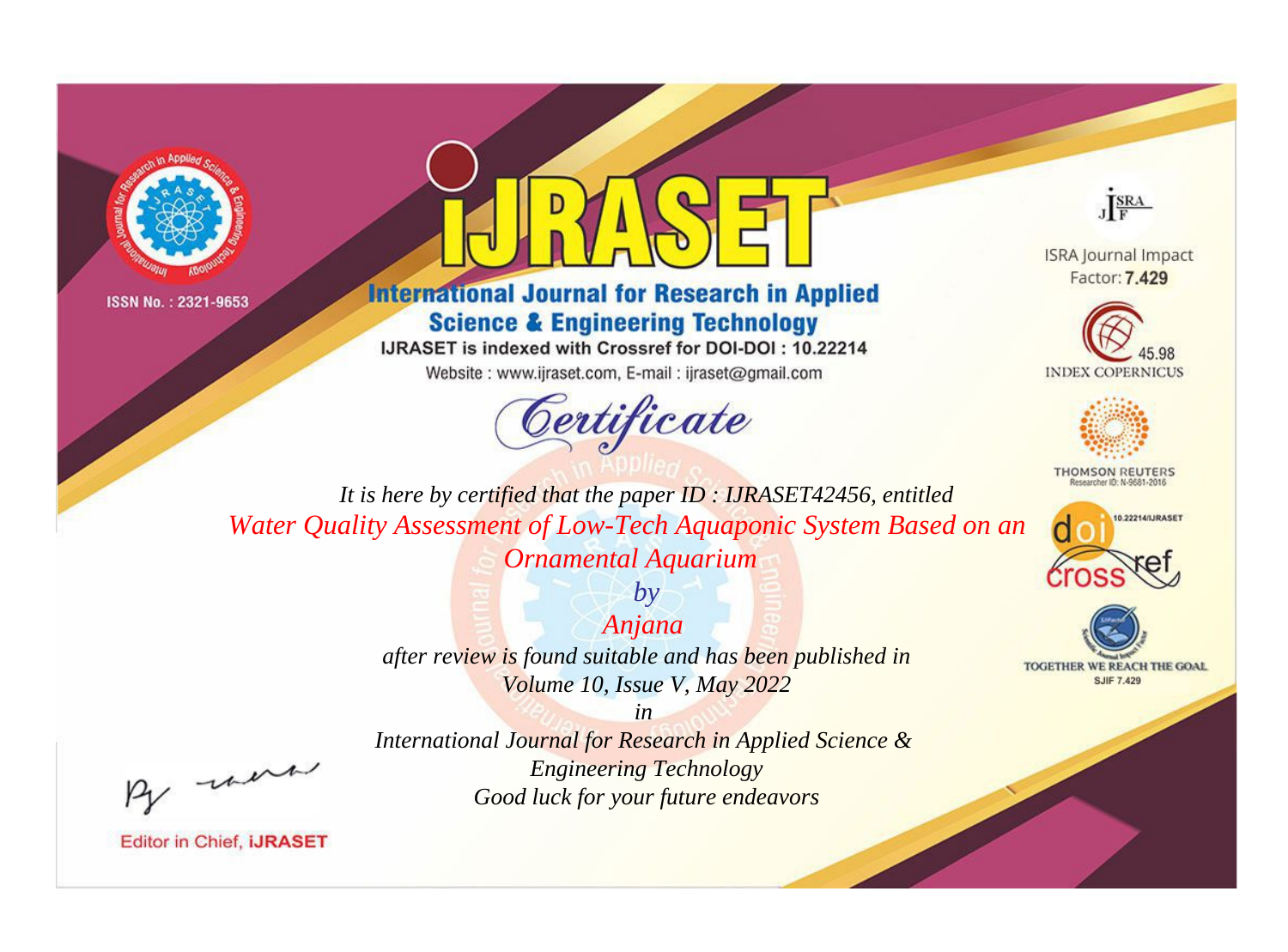



# **International Journal for Research in Applied Science & Engineering Technology**

IJRASET is indexed with Crossref for DOI-DOI: 10.22214

Website: www.ijraset.com, E-mail: ijraset@gmail.com





**ISRA Journal Impact** Factor: 7.429





**THOMSON REUTERS** 



TOGETHER WE REACH THE GOAL **SJIF 7.429** 

*It is here by certified that the paper ID : IJRASET42456, entitled Water Quality Assessment of Low-Tech Aquaponic System Based on an Ornamental Aquarium*

> *Anjana after review is found suitable and has been published in Volume 10, Issue V, May 2022*

*by*

, un

*International Journal for Research in Applied Science & Engineering Technology Good luck for your future endeavors*

*in*